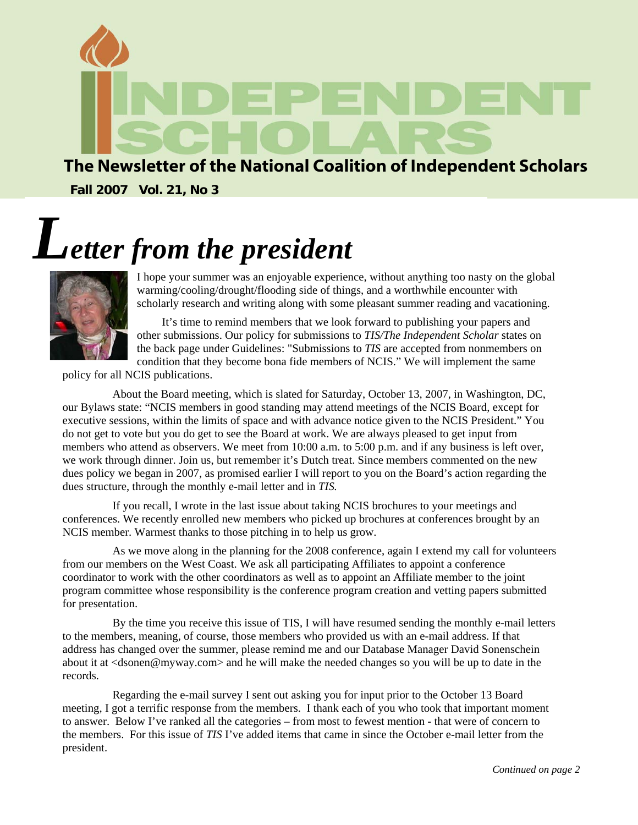

## The Newsletter of the National Coalition of Independent Scholars

**Fall 2007 Vol. 21, No 3**

# *Letter from the president*



I hope your summer was an enjoyable experience, without anything too nasty on the global warming/cooling/drought/flooding side of things, and a worthwhile encounter with scholarly research and writing along with some pleasant summer reading and vacationing.

It's time to remind members that we look forward to publishing your papers and other submissions. Our policy for submissions to *TIS/The Independent Scholar* states on the back page under Guidelines: "Submissions to *TIS* are accepted from nonmembers on condition that they become bona fide members of NCIS." We will implement the same

policy for all NCIS publications.

About the Board meeting, which is slated for Saturday, October 13, 2007, in Washington, DC, our Bylaws state: "NCIS members in good standing may attend meetings of the NCIS Board, except for executive sessions, within the limits of space and with advance notice given to the NCIS President." You do not get to vote but you do get to see the Board at work. We are always pleased to get input from members who attend as observers. We meet from 10:00 a.m. to 5:00 p.m. and if any business is left over, we work through dinner. Join us, but remember it's Dutch treat. Since members commented on the new dues policy we began in 2007, as promised earlier I will report to you on the Board's action regarding the dues structure, through the monthly e-mail letter and in *TIS.* 

If you recall, I wrote in the last issue about taking NCIS brochures to your meetings and conferences. We recently enrolled new members who picked up brochures at conferences brought by an NCIS member. Warmest thanks to those pitching in to help us grow.

As we move along in the planning for the 2008 conference, again I extend my call for volunteers from our members on the West Coast. We ask all participating Affiliates to appoint a conference coordinator to work with the other coordinators as well as to appoint an Affiliate member to the joint program committee whose responsibility is the conference program creation and vetting papers submitted for presentation.

By the time you receive this issue of TIS, I will have resumed sending the monthly e-mail letters to the members, meaning, of course, those members who provided us with an e-mail address. If that address has changed over the summer, please remind me and our Database Manager David Sonenschein about it at <dsonen@myway.com> and he will make the needed changes so you will be up to date in the records.

Regarding the e-mail survey I sent out asking you for input prior to the October 13 Board meeting, I got a terrific response from the members. I thank each of you who took that important moment to answer. Below I've ranked all the categories – from most to fewest mention - that were of concern to the members. For this issue of *TIS* I've added items that came in since the October e-mail letter from the president.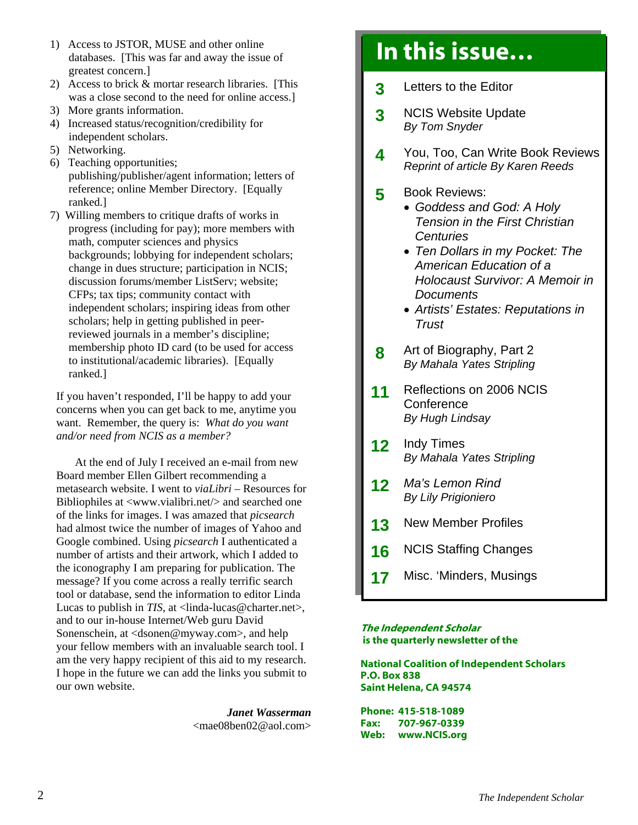- 1) Access to JSTOR, MUSE and other online databases. [This was far and away the issue of greatest concern.]
- 2) Access to brick & mortar research libraries. [This was a close second to the need for online access.]
- 3) More grants information.
- 4) Increased status/recognition/credibility for independent scholars.
- 5) Networking.
- 6) Teaching opportunities; publishing/publisher/agent information; letters of reference; online Member Directory. [Equally ranked.]
- 7) Willing members to critique drafts of works in progress (including for pay); more members with math, computer sciences and physics backgrounds; lobbying for independent scholars; change in dues structure; participation in NCIS; discussion forums/member ListServ; website; CFPs; tax tips; community contact with independent scholars; inspiring ideas from other scholars; help in getting published in peerreviewed journals in a member's discipline; membership photo ID card (to be used for access to institutional/academic libraries). [Equally ranked.]

If you haven't responded, I'll be happy to add your concerns when you can get back to me, anytime you want. Remember, the query is: *What do you want and/or need from NCIS as a member?* 

At the end of July I received an e-mail from new Board member Ellen Gilbert recommending a metasearch website. I went to *viaLibri* – Resources for Bibliophiles at <www.vialibri.net/> and searched one of the links for images. I was amazed that *picsearch* had almost twice the number of images of Yahoo and Google combined. Using *picsearch* I authenticated a number of artists and their artwork, which I added to the iconography I am preparing for publication. The message? If you come across a really terrific search tool or database, send the information to editor Linda Lucas to publish in *TIS*, at <linda-lucas@charter.net>, and to our in-house Internet/Web guru David Sonenschein, at <dsonen@myway.com>, and help your fellow members with an invaluable search tool. I am the very happy recipient of this aid to my research. I hope in the future we can add the links you submit to our own website.

> *Janet Wasserman*  [<mae08ben02@aol.com>](mailto:mae08ben02@aol.com)

## In this issue…

- **3** Letters to the Editor
- **3** NCIS Website Update *By Tom Snyder*
- **4** You, Too, Can Write Book Reviews *Reprint of article By Karen Reeds*

l.

- **5** Book Reviews:
	- *Goddess and God: A Holy Tension in the First Christian Centuries*
	- *Ten Dollars in my Pocket: The American Education of a Holocaust Survivor: A Memoir in Documents*
	- *Artists' Estates: Reputations in Trust*
- **8** Art of Biography, Part 2 *By Mahala Yates Stripling*
- **11** Reflections on 2006 NCIS **Conference** *By Hugh Lindsay*
- **12** Indy Times *By Mahala Yates Stripling*
- **12** *Ma's Lemon Rind By Lily Prigioniero*
- 13 New Member Profiles
- **16** NCIS Staffing Changes
- **17** Misc. 'Minders, Musings

#### The Independent Scholar is the quarterly newsletter of the

National Coalition of Independent Scholars P.O. Box 838 Saint Helena, CA 94574

Phone: 415-518-1089 Fax: 707-967-0339 Web: www.NCIS.org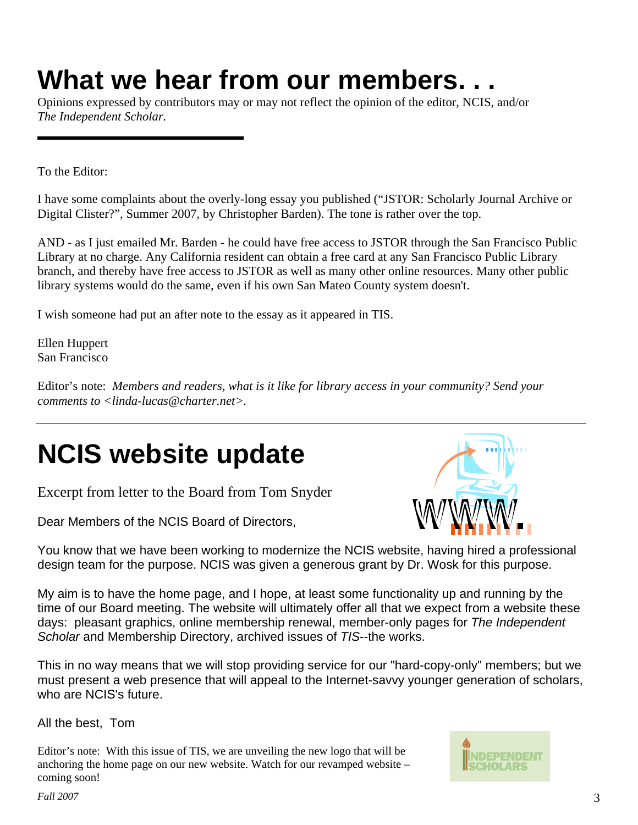# **What we hear from our members. . .**

Opinions expressed by contributors may or may not reflect the opinion of the editor, NCIS, and/or *The Independent Scholar.*

To the Editor:

I have some complaints about the overly-long essay you published ("JSTOR: Scholarly Journal Archive or Digital Clister?", Summer 2007, by Christopher Barden). The tone is rather over the top.

AND - as I just emailed Mr. Barden - he could have free access to JSTOR through the San Francisco Public Library at no charge. Any California resident can obtain a free card at any San Francisco Public Library branch, and thereby have free access to JSTOR as well as many other online resources. Many other public library systems would do the same, even if his own San Mateo County system doesn't.

I wish someone had put an after note to the essay as it appeared in TIS.

Ellen Huppert San Francisco

Editor's note: *Members and readers, what is it like for library access in your community? Send your comments to [<linda-lucas@charter.net>.](mailto:linda-lucas@charter.net)* 

# **NCIS website update**

Excerpt from letter to the Board from Tom Snyder

Dear Members of the NCIS Board of Directors,



You know that we have been working to modernize the NCIS website, having hired a professional design team for the purpose. NCIS was given a generous grant by Dr. Wosk for this purpose.

My aim is to have the home page, and I hope, at least some functionality up and running by the time of our Board meeting. The website will ultimately offer all that we expect from a website these days: pleasant graphics, online membership renewal, member-only pages for *The Independent Scholar* and Membership Directory, archived issues of *TIS*--the works.

This in no way means that we will stop providing service for our "hard-copy-only" members; but we must present a web presence that will appeal to the Internet-savvy younger generation of scholars, who are NCIS's future.

All the best, Tom

Editor's note: With this issue of TIS, we are unveiling the new logo that will be anchoring the home page on our new website. Watch for our revamped website – coming soon!

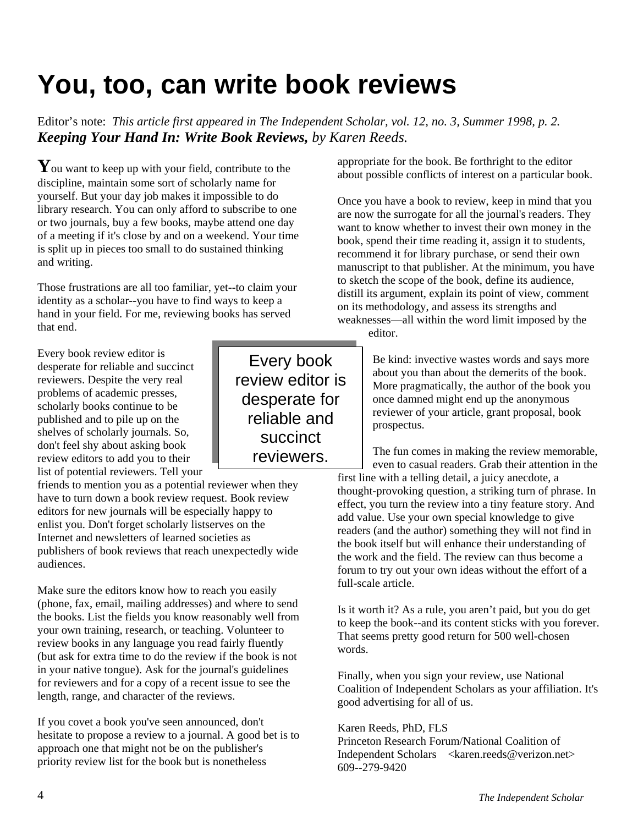# **You, too, can write book reviews**

Editor's note: *This article first appeared in The Independent Scholar, vol. 12, no. 3, Summer 1998, p. 2. Keeping Your Hand In: Write Book Reviews, by Karen Reeds.* 

You want to keep up with your field, contribute to the discipline, maintain some sort of scholarly name for yourself. But your day job makes it impossible to do library research. You can only afford to subscribe to one or two journals, buy a few books, maybe attend one day of a meeting if it's close by and on a weekend. Your time is split up in pieces too small to do sustained thinking and writing.

Those frustrations are all too familiar, yet--to claim your identity as a scholar--you have to find ways to keep a hand in your field. For me, reviewing books has served that end.

Every book review editor is desperate for reliable and succinct reviewers. Despite the very real problems of academic presses, scholarly books continue to be published and to pile up on the shelves of scholarly journals. So, don't feel shy about asking book review editors to add you to their list of potential reviewers. Tell your

friends to mention you as a potential reviewer when they have to turn down a book review request. Book review editors for new journals will be especially happy to enlist you. Don't forget scholarly listserves on the Internet and newsletters of learned societies as publishers of book reviews that reach unexpectedly wide audiences.

Make sure the editors know how to reach you easily (phone, fax, email, mailing addresses) and where to send the books. List the fields you know reasonably well from your own training, research, or teaching. Volunteer to review books in any language you read fairly fluently (but ask for extra time to do the review if the book is not in your native tongue). Ask for the journal's guidelines for reviewers and for a copy of a recent issue to see the length, range, and character of the reviews.

If you covet a book you've seen announced, don't hesitate to propose a review to a journal. A good bet is to approach one that might not be on the publisher's priority review list for the book but is nonetheless

Every book review editor is desperate for reliable and succinct reviewers.

appropriate for the book. Be forthright to the editor about possible conflicts of interest on a particular book.

Once you have a book to review, keep in mind that you are now the surrogate for all the journal's readers. They want to know whether to invest their own money in the book, spend their time reading it, assign it to students, recommend it for library purchase, or send their own manuscript to that publisher. At the minimum, you have to sketch the scope of the book, define its audience, distill its argument, explain its point of view, comment on its methodology, and assess its strengths and weaknesses—all within the word limit imposed by the

editor.

Be kind: invective wastes words and says more about you than about the demerits of the book. More pragmatically, the author of the book you once damned might end up the anonymous reviewer of your article, grant proposal, book prospectus.

The fun comes in making the review memorable, even to casual readers. Grab their attention in the first line with a telling detail, a juicy anecdote, a thought-provoking question, a striking turn of phrase. In effect, you turn the review into a tiny feature story. And add value. Use your own special knowledge to give readers (and the author) something they will not find in the book itself but will enhance their understanding of the work and the field. The review can thus become a forum to try out your own ideas without the effort of a full-scale article.

Is it worth it? As a rule, you aren't paid, but you do get to keep the book--and its content sticks with you forever. That seems pretty good return for 500 well-chosen words.

Finally, when you sign your review, use National Coalition of Independent Scholars as your affiliation. It's good advertising for all of us.

#### Karen Reeds, PhD, FLS

Princeton Research Forum/National Coalition of Independent Scholars [<karen.reeds@verizon.net>](mailto:karen.reeds@verizon.net) 609--279-9420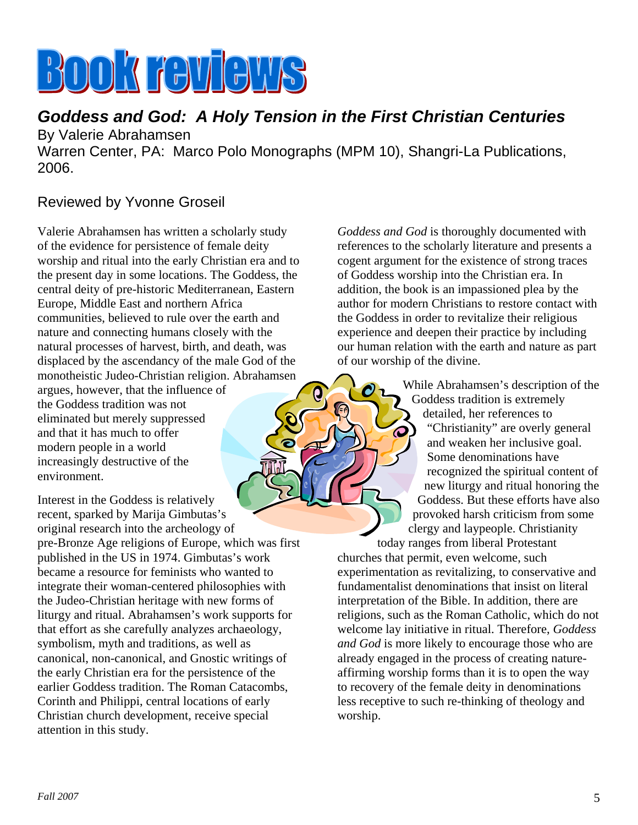# **BOOK FOULOUS**

## *Goddess and God: A Holy Tension in the First Christian Centuries*  By Valerie Abrahamsen

Warren Center, PA: Marco Polo Monographs (MPM 10), Shangri-La Publications, 2006.

 $\boldsymbol{\Theta}$ 

## Reviewed by Yvonne Groseil

Valerie Abrahamsen has written a scholarly study of the evidence for persistence of female deity worship and ritual into the early Christian era and to the present day in some locations. The Goddess, the central deity of pre-historic Mediterranean, Eastern Europe, Middle East and northern Africa communities, believed to rule over the earth and nature and connecting humans closely with the natural processes of harvest, birth, and death, was displaced by the ascendancy of the male God of the monotheistic Judeo-Christian religion. Abrahamsen argues, however, that the influence of the Goddess tradition was not eliminated but merely suppressed and that it has much to offer modern people in a world increasingly destructive of the environment.

Interest in the Goddess is relatively recent, sparked by Marija Gimbutas's original research into the archeology of pre-Bronze Age religions of Europe, which was first published in the US in 1974. Gimbutas's work became a resource for feminists who wanted to integrate their woman-centered philosophies with the Judeo-Christian heritage with new forms of liturgy and ritual. Abrahamsen's work supports for that effort as she carefully analyzes archaeology, symbolism, myth and traditions, as well as canonical, non-canonical, and Gnostic writings of the early Christian era for the persistence of the earlier Goddess tradition. The Roman Catacombs, Corinth and Philippi, central locations of early Christian church development, receive special attention in this study.

*Goddess and God* is thoroughly documented with references to the scholarly literature and presents a cogent argument for the existence of strong traces of Goddess worship into the Christian era. In addition, the book is an impassioned plea by the author for modern Christians to restore contact with the Goddess in order to revitalize their religious experience and deepen their practice by including our human relation with the earth and nature as part of our worship of the divine.

> While Abrahamsen's description of the Goddess tradition is extremely detailed, her references to "Christianity" are overly general and weaken her inclusive goal. Some denominations have recognized the spiritual content of new liturgy and ritual honoring the Goddess. But these efforts have also provoked harsh criticism from some clergy and laypeople. Christianity today ranges from liberal Protestant

churches that permit, even welcome, such experimentation as revitalizing, to conservative and fundamentalist denominations that insist on literal interpretation of the Bible. In addition, there are religions, such as the Roman Catholic, which do not welcome lay initiative in ritual. Therefore, *Goddess and God* is more likely to encourage those who are already engaged in the process of creating natureaffirming worship forms than it is to open the way to recovery of the female deity in denominations less receptive to such re-thinking of theology and worship.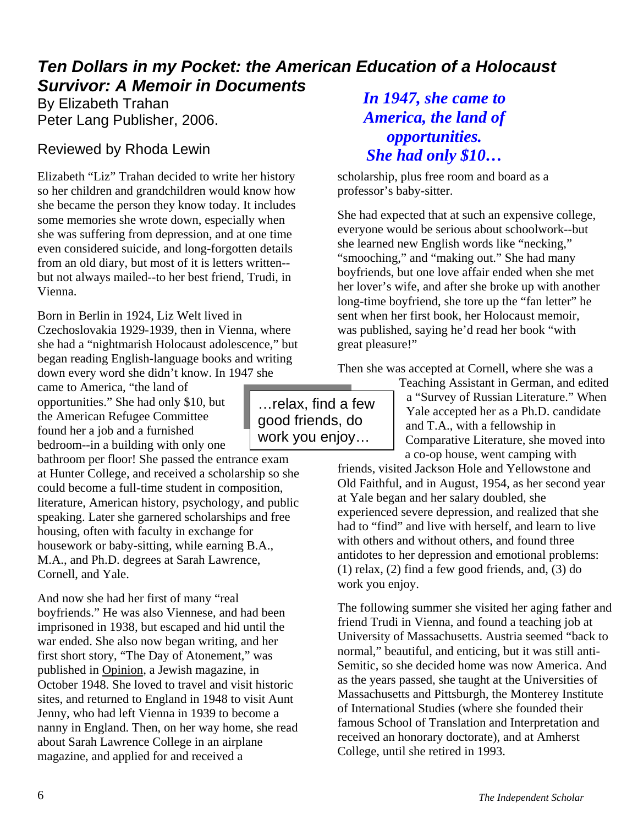## *Ten Dollars in my Pocket: the American Education of a Holocaust Survivor: A Memoir in Documents*

By Elizabeth Trahan Peter Lang Publisher, 2006.

## Reviewed by Rhoda Lewin

Elizabeth "Liz" Trahan decided to write her history so her children and grandchildren would know how she became the person they know today. It includes some memories she wrote down, especially when she was suffering from depression, and at one time even considered suicide, and long-forgotten details from an old diary, but most of it is letters written- but not always mailed--to her best friend, Trudi, in Vienna.

Born in Berlin in 1924, Liz Welt lived in Czechoslovakia 1929-1939, then in Vienna, where she had a "nightmarish Holocaust adolescence," but began reading English-language books and writing down every word she didn't know. In 1947 she

came to America, "the land of opportunities." She had only \$10, but the American Refugee Committee found her a job and a furnished bedroom--in a building with only one

bathroom per floor! She passed the entrance exam at Hunter College, and received a scholarship so she could become a full-time student in composition, literature, American history, psychology, and public speaking. Later she garnered scholarships and free housing, often with faculty in exchange for housework or baby-sitting, while earning B.A., M.A., and Ph.D. degrees at Sarah Lawrence, Cornell, and Yale.

And now she had her first of many "real boyfriends." He was also Viennese, and had been imprisoned in 1938, but escaped and hid until the war ended. She also now began writing, and her first short story, "The Day of Atonement," was published in Opinion, a Jewish magazine, in October 1948. She loved to travel and visit historic sites, and returned to England in 1948 to visit Aunt Jenny, who had left Vienna in 1939 to become a nanny in England. Then, on her way home, she read about Sarah Lawrence College in an airplane magazine, and applied for and received a

## *In 1947, she came to America, the land of opportunities. She had only \$10…*

scholarship, plus free room and board as a professor's baby-sitter.

She had expected that at such an expensive college, everyone would be serious about schoolwork--but she learned new English words like "necking," "smooching," and "making out." She had many boyfriends, but one love affair ended when she met her lover's wife, and after she broke up with another long-time boyfriend, she tore up the "fan letter" he sent when her first book, her Holocaust memoir, was published, saying he'd read her book "with great pleasure!"

Then she was accepted at Cornell, where she was a

Teaching Assistant in German, and edited a "Survey of Russian Literature." When Yale accepted her as a Ph.D. candidate and T.A., with a fellowship in Comparative Literature, she moved into a co-op house, went camping with

friends, visited Jackson Hole and Yellowstone and Old Faithful, and in August, 1954, as her second year at Yale began and her salary doubled, she experienced severe depression, and realized that she had to "find" and live with herself, and learn to live with others and without others, and found three antidotes to her depression and emotional problems: (1) relax, (2) find a few good friends, and, (3) do work you enjoy.

The following summer she visited her aging father and friend Trudi in Vienna, and found a teaching job at University of Massachusetts. Austria seemed "back to normal," beautiful, and enticing, but it was still anti-Semitic, so she decided home was now America. And as the years passed, she taught at the Universities of Massachusetts and Pittsburgh, the Monterey Institute of International Studies (where she founded their famous School of Translation and Interpretation and received an honorary doctorate), and at Amherst College, until she retired in 1993.

…relax, find a few good friends, do work you enjoy…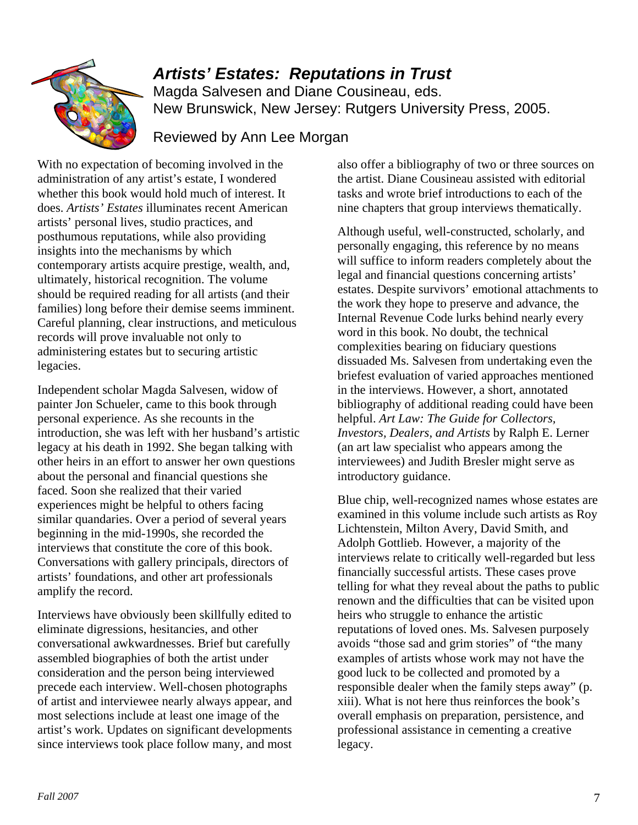

## *Artists' Estates: Reputations in Trust*

Magda Salvesen and Diane Cousineau, eds. New Brunswick, New Jersey: Rutgers University Press, 2005.

## Reviewed by Ann Lee Morgan

With no expectation of becoming involved in the administration of any artist's estate, I wondered whether this book would hold much of interest. It does. *Artists' Estates* illuminates recent American artists' personal lives, studio practices, and posthumous reputations, while also providing insights into the mechanisms by which contemporary artists acquire prestige, wealth, and, ultimately, historical recognition. The volume should be required reading for all artists (and their families) long before their demise seems imminent. Careful planning, clear instructions, and meticulous records will prove invaluable not only to administering estates but to securing artistic legacies.

Independent scholar Magda Salvesen, widow of painter Jon Schueler, came to this book through personal experience. As she recounts in the introduction, she was left with her husband's artistic legacy at his death in 1992. She began talking with other heirs in an effort to answer her own questions about the personal and financial questions she faced. Soon she realized that their varied experiences might be helpful to others facing similar quandaries. Over a period of several years beginning in the mid-1990s, she recorded the interviews that constitute the core of this book. Conversations with gallery principals, directors of artists' foundations, and other art professionals amplify the record.

Interviews have obviously been skillfully edited to eliminate digressions, hesitancies, and other conversational awkwardnesses. Brief but carefully assembled biographies of both the artist under consideration and the person being interviewed precede each interview. Well-chosen photographs of artist and interviewee nearly always appear, and most selections include at least one image of the artist's work. Updates on significant developments since interviews took place follow many, and most also offer a bibliography of two or three sources on the artist. Diane Cousineau assisted with editorial tasks and wrote brief introductions to each of the nine chapters that group interviews thematically.

Although useful, well-constructed, scholarly, and personally engaging, this reference by no means will suffice to inform readers completely about the legal and financial questions concerning artists' estates. Despite survivors' emotional attachments to the work they hope to preserve and advance, the Internal Revenue Code lurks behind nearly every word in this book. No doubt, the technical complexities bearing on fiduciary questions dissuaded Ms. Salvesen from undertaking even the briefest evaluation of varied approaches mentioned in the interviews. However, a short, annotated bibliography of additional reading could have been helpful. *Art Law: The Guide for Collectors, Investors, Dealers, and Artists* by Ralph E. Lerner (an art law specialist who appears among the interviewees) and Judith Bresler might serve as introductory guidance.

Blue chip, well-recognized names whose estates are examined in this volume include such artists as Roy Lichtenstein, Milton Avery, David Smith, and Adolph Gottlieb. However, a majority of the interviews relate to critically well-regarded but less financially successful artists. These cases prove telling for what they reveal about the paths to public renown and the difficulties that can be visited upon heirs who struggle to enhance the artistic reputations of loved ones. Ms. Salvesen purposely avoids "those sad and grim stories" of "the many examples of artists whose work may not have the good luck to be collected and promoted by a responsible dealer when the family steps away" (p. xiii). What is not here thus reinforces the book's overall emphasis on preparation, persistence, and professional assistance in cementing a creative legacy.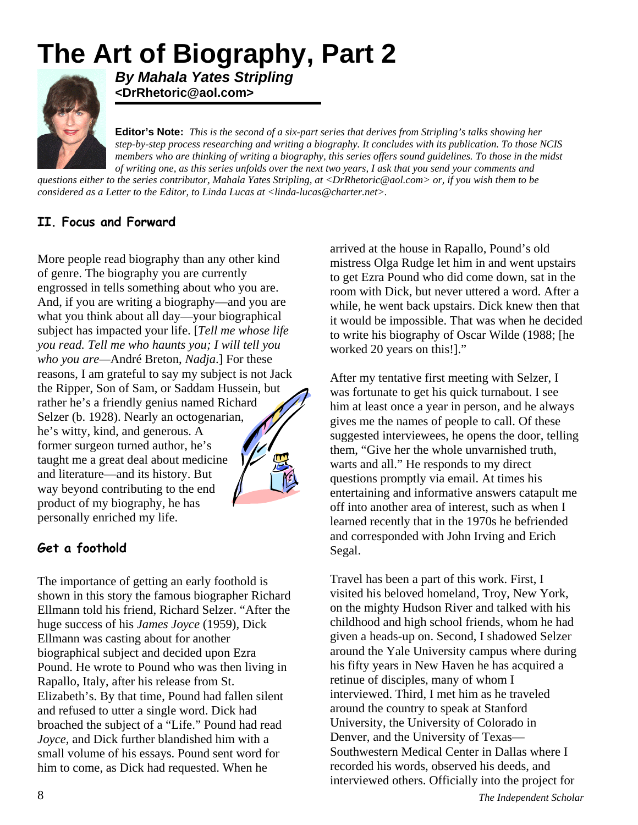# **The Art of Biography, Part 2**



*By Mahala Yates Stripling*  **<DrRhetoric@aol.com>** 

**Editor's Note:** *This is the second of a six-part series that derives from Stripling's talks showing her step-by-step process researching and writing a biography. It concludes with its publication. To those N CIS members who are thinking of writing a biography, this series offers sound guidelines. To those in the midst of writing one, as this series unfolds over the next two years, I ask that you send your comments and* 

*questions either to the series contributor, Mahala Yates Stripling, at < [DrRhetoric@aol.com](mailto:DrRhetoric@aol.com)> or, if you wish them to be considered as a Letter to the Editor, to Linda Lucas at <[linda-lucas@charter.net](mailto:linda-lucas@charter.net)>.*

### **II. Focus and Forward**

More people read biography than any other kind of genre. The biography you are currently engrossed in tells something about who you are. And, if you are writing a biography—and you are what you think about all day—your biographical subject has impacted your life. [*Tell me whose life you read. Tell me who haunts you; I will tell you who you are—*André Breton, *Nadja*.] For these reasons, I am grateful to say my subject is not Jack the Ripper, Son of Sam, or Saddam Hussein, but rather he's a friendly genius named Richard Selzer (b. 1928). Nearly an octogenarian, he's witty, kind, and generous. A former surgeon turned author, he's taught me a great deal about medicine and literature—and its history. But way beyond contributing to the end product of my biography, he has personally enriched my life.

## **Get a foothold**

The importance of getting an early foothold is shown in this story the famous biographer Richard Ellmann told his friend, Richard Selzer. "After the huge success of his *James Joyce* (1959)*,* Dick Ellmann was casting about for another biographical subject and decided upon Ezra Pound. He wrote to Pound who was then living in Rapallo, Italy, after his release from St. Elizabeth's. By that time, Pound had fallen silent and refused to utter a single word. Dick had broached the subject of a "Life." Pound had read *Joyce,* and Dick further blandished him with a small volume of his essays. Pound sent word for him to come, as Dick had requested. When he

arrived at the house in Rapallo, Pound's old mistress Olga Rudge let him in and went upstairs to get Ezra Pound who did come down, sat in the room with Dick, but never uttered a word. After a while, he went back upstairs. Dick knew then that it would be impossible. That was when he decided to write his biography of Oscar Wilde (1988; [he worked 20 years on this!]."

After my tentative first meeting with Selzer, I was fortunate to get his quick turnabout. I see him at least once a year in person, and he always gives me the names of people to call. Of these suggested interviewees, he opens the door, telling them, "Give her the whole unvarnished truth, warts and all." He responds to my direct questions promptly via email. At times his entertaining and informative answers catapult me off into another area of interest, such as when I learned recently that in the 1970s he befriended and corresponded with John Irving and Erich Segal.

Travel has been a part of this work. First, I visited his beloved homeland, Troy, New York, on the mighty Hudson River and talked with his childhood and high school friends, whom he had given a heads-up on. Second, I shadowed Selzer around the Yale University campus where during his fifty years in New Haven he has acquired a retinue of disciples, many of whom I interviewed. Third, I met him as he traveled around the country to speak at Stanford University, the University of Colorado in Denver, and the University of Texas— Southwestern Medical Center in Dallas where I recorded his words, observed his deeds, and interviewed others. Officially into the project for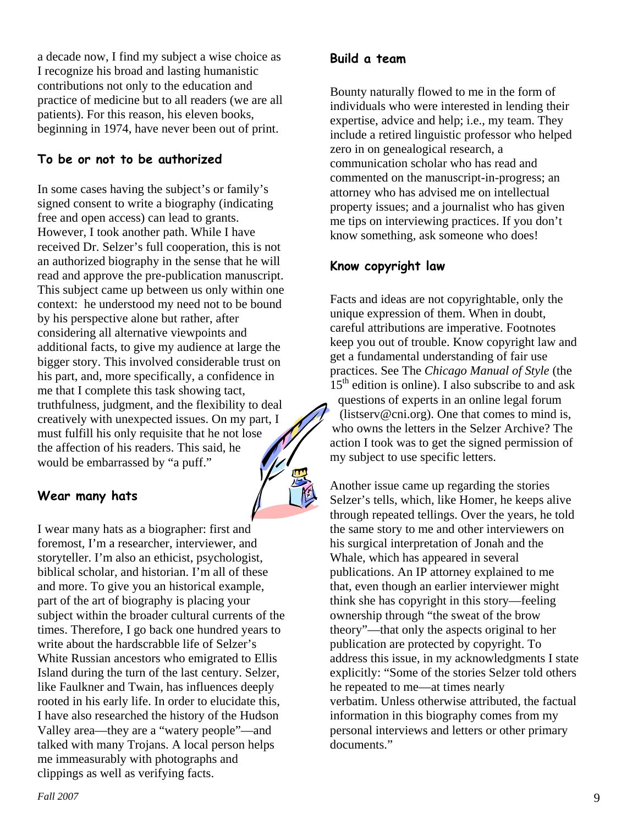a decade now, I find my subject a wise choice as I recognize his broad and lasting humanistic contributions not only to the education and practice of medicine but to all readers (we are all patients). For this reason, his eleven books, beginning in 1974, have never been out of print.

#### **To be or not to be authorized**

In some cases having the subject's or family's signed consent to write a biography (indicating free and open access) can lead to grants. However, I took another path. While I have received Dr. Selzer's full cooperation, this is not an authorized biography in the sense that he will read and approve the pre-publication manuscript. This subject came up between us only within one context: he understood my need not to be bound by his perspective alone but rather, after considering all alternative viewpoints and additional facts, to give my audience at large the bigger story. This involved considerable trust on his part, and, more specifically, a confidence in me that I complete this task showing tact, truthfulness, judgment, and the flexibility to deal creatively with unexpected issues. On my part, I must fulfill his only requisite that he not lose the affection of his readers. This said, he would be embarrassed by "a puff."

#### **Wear many hats**

I wear many hats as a biographer: first and foremost, I'm a researcher, interviewer, and storyteller. I'm also an ethicist, psychologist, biblical scholar, and historian. I'm all of these and more. To give you an historical example, part of the art of biography is placing your subject within the broader cultural currents of the times. Therefore, I go back one hundred years to write about the hardscrabble life of Selzer's White Russian ancestors who emigrated to Ellis Island during the turn of the last century. Selzer, like Faulkner and Twain, has influences deeply rooted in his early life. In order to elucidate this, I have also researched the history of the Hudson Valley area—they are a "watery people"—and talked with many Trojans. A local person helps me immeasurably with photographs and clippings as well as verifying facts.

Bounty naturally flowed to me in the form of individuals who were interested in lending their expertise, advice and help; i.e., my team. They include a retired linguistic professor who helped zero in on genealogical research, a communication scholar who has read and commented on the manuscript-in-progress; an attorney who has advised me on intellectual property issues; and a journalist who has given me tips on interviewing practices. If you don't know something, ask someone who does!

#### **Know copyright law**

Facts and ideas are not copyrightable, only the unique expression of them. When in doubt, careful attributions are imperative. Footnotes keep you out of trouble. Know copyright law and get a fundamental understanding of fair use practices. See The *Chicago Manual of Style* (the  $15<sup>th</sup>$  edition is online). I also subscribe to and ask questions of experts in an online legal forum [\(listserv@cni.org\)](mailto:listserv@cni.org). One that comes to mind is, who owns the letters in the Selzer Archive? The action I took was to get the signed permission of my subject to use specific letters.

Another issue came up regarding the stories Selzer's tells, which, like Homer, he keeps alive through repeated tellings. Over the years, he told the same story to me and other interviewers on his surgical interpretation of Jonah and the Whale, which has appeared in several publications. An IP attorney explained to me that, even though an earlier interviewer might think she has copyright in this story—feeling ownership through "the sweat of the brow theory"—that only the aspects original to her publication are protected by copyright. To address this issue, in my acknowledgments I state explicitly: "Some of the stories Selzer told others he repeated to me—at times nearly verbatim. Unless otherwise attributed, the factual information in this biography comes from my personal interviews and letters or other primary documents."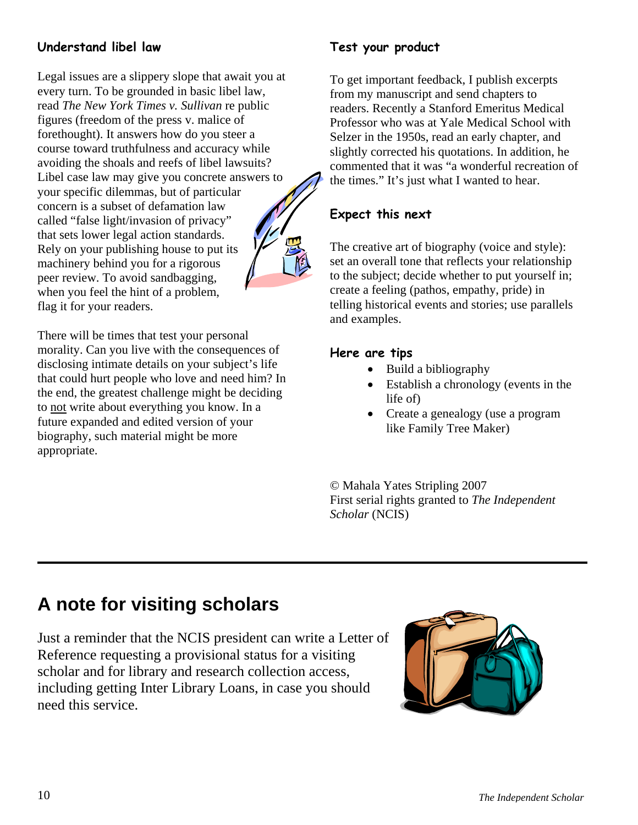### **Understand libel law**

Legal issues are a slippery slope that await you at every turn. To be grounded in basic libel law, read *The New York Times v. Sullivan* re public figures (freedom of the press v. malice of forethought). It answers how do you steer a course toward truthfulness and accuracy while avoiding the shoals and reefs of libel lawsuits? Libel case law may give you concrete answers to your specific dilemmas, but of particular concern is a subset of defamation law called "false light/invasion of privacy" that sets lower legal action standards. Rely on your publishing house to put its machinery behind you for a rigorous peer review. To avoid sandbagging, when you feel the hint of a problem, flag it for your readers.

There will be times that test your personal morality. Can you live with the consequences of disclosing intimate details on your subject's life that could hurt people who love and need him? In the end, the greatest challenge might be deciding to not write about everything you know. In a future expanded and edited version of your biography, such material might be more appropriate.

### **Test your product**

To get important feedback, I publish excerpts from my manuscript and send chapters to readers. Recently a Stanford Emeritus Medical Professor who was at Yale Medical School with Selzer in the 1950s, read an early chapter, and slightly corrected his quotations. In addition, he commented that it was "a wonderful recreation of the times." It's just what I wanted to hear.

### **Expect this next**

The creative art of biography (voice and style): set an overall tone that reflects your relationship to the subject; decide whether to put yourself in; create a feeling (pathos, empathy, pride) in telling historical events and stories; use parallels and examples.

#### **Here are tips**

- Build a bibliography
- Establish a chronology (events in the life of)
- Create a genealogy (use a program like Family Tree Maker)

© Mahala Yates Stripling 2007 First serial rights granted to *The Independent Scholar* (NCIS)

## **A note for visiting scholars**

Just a reminder that the NCIS president can write a Letter of Reference requesting a provisional status for a visiting scholar and for library and research collection access, including getting Inter Library Loans, in case you should need this service.

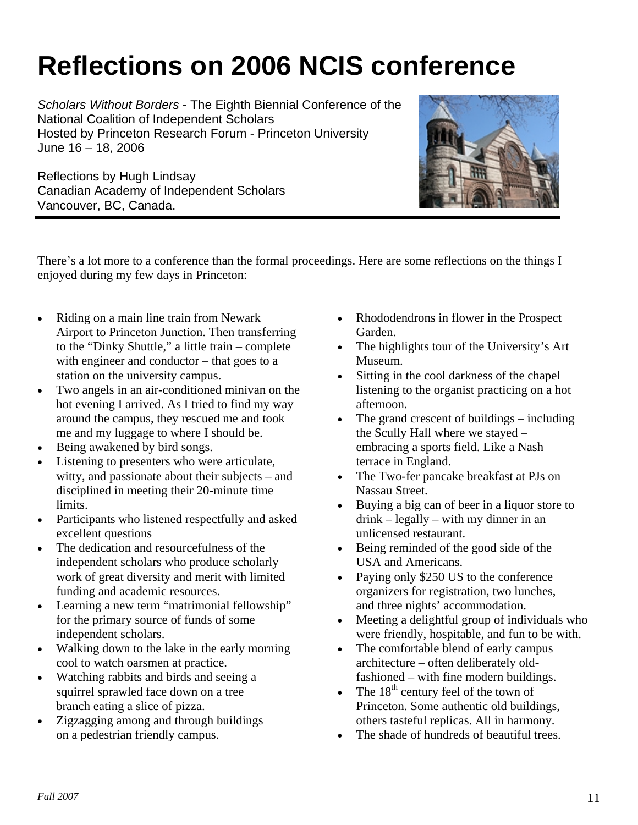# **Reflections on 2006 NCIS conference**

*Scholars Without Borders* - The Eighth Biennial Conference of the National Coalition of Independent Scholars Hosted by Princeton Research Forum - Princeton University June 16 – 18, 2006

Reflections by Hugh Lindsay Canadian Academy of Independent Scholars Vancouver, BC, Canada.



There's a lot more to a conference than the formal proceedings. Here are some reflections on the things I enjoyed during my few days in Princeton:

- Riding on a main line train from Newark Airport to Princeton Junction. Then transferring to the "Dinky Shuttle," a little train – complete with engineer and conductor – that goes to a station on the university campus.
- Two angels in an air-conditioned minivan on the hot evening I arrived. As I tried to find my way around the campus, they rescued me and took me and my luggage to where I should be.
- Being awakened by bird songs.
- Listening to presenters who were articulate, witty, and passionate about their subjects – and disciplined in meeting their 20-minute time limits.
- Participants who listened respectfully and asked excellent questions
- The dedication and resourcefulness of the independent scholars who produce scholarly work of great diversity and merit with limited funding and academic resources.
- Learning a new term "matrimonial fellowship" for the primary source of funds of some independent scholars.
- Walking down to the lake in the early morning cool to watch oarsmen at practice.
- Watching rabbits and birds and seeing a squirrel sprawled face down on a tree branch eating a slice of pizza.
- Zigzagging among and through buildings on a pedestrian friendly campus.
- Rhododendrons in flower in the Prospect Garden.
- The highlights tour of the University's Art Museum.
- Sitting in the cool darkness of the chapel listening to the organist practicing on a hot afternoon.
- The grand crescent of buildings including the Scully Hall where we stayed – embracing a sports field. Like a Nash terrace in England.
- The Two-fer pancake breakfast at PJs on Nassau Street.
- Buying a big can of beer in a liquor store to drink – legally – with my dinner in an unlicensed restaurant.
- Being reminded of the good side of the USA and Americans.
- Paying only \$250 US to the conference organizers for registration, two lunches, and three nights' accommodation.
- Meeting a delightful group of individuals who were friendly, hospitable, and fun to be with.
- The comfortable blend of early campus architecture – often deliberately oldfashioned – with fine modern buildings.
- The  $18<sup>th</sup>$  century feel of the town of Princeton. Some authentic old buildings, others tasteful replicas. All in harmony.
- The shade of hundreds of beautiful trees.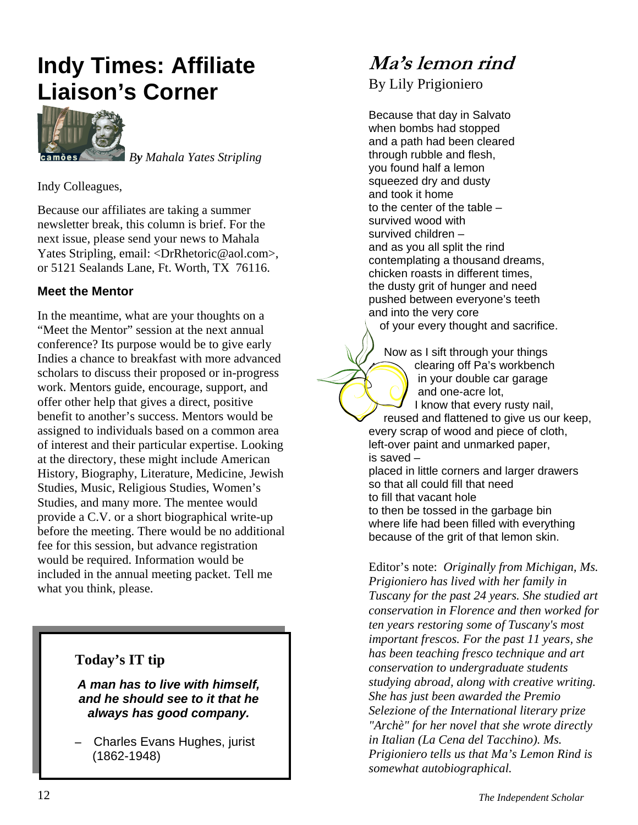## **Indy Times: Affiliate Liaison's Corner**



 *By Mahala Yates Stripling*

Indy Colleagues,

Because our affiliates are taking a summer newsletter break, this column is brief. For the next issue, please send your news to Mahala Yates Stripling, email: [<DrRhetoric@aol.com>](mailto:DrRhetoric@aol.com), or 5121 Sealands Lane, Ft. Worth, TX 76116.

#### **Meet the Mentor**

In the meantime, what are your thoughts on a "Meet the Mentor" session at the next annual conference? Its purpose would be to give early Indies a chance to breakfast with more advanced scholars to discuss their proposed or in-progress work. Mentors guide, encourage, support, and offer other help that gives a direct, positive benefit to another's success. Mentors would be assigned to individuals based on a common area of interest and their particular expertise. Looking at the directory, these might include American History, Biography, Literature, Medicine, Jewish Studies, Music, Religious Studies, Women's Studies, and many more. The mentee would provide a C.V. or a short biographical write-up before the meeting. There would be no additional fee for this session, but advance registration would be required. Information would be included in the annual meeting packet. Tell me what you think, please.

#### **Today's IT tip**

*A man has to live with himself, and he should see to it that he always has good company.*

**–** Charles Evans Hughes, jurist (1862-1948)

## **Ma's lemon rind**

By Lily Prigioniero

Because that day in Salvato when bombs had stopped and a path had been cleared through rubble and flesh, you found half a lemon squeezed dry and dusty and took it home to the center of the table – survived wood with survived children – and as you all split the rind contemplating a thousand dreams, chicken roasts in different times, the dusty grit of hunger and need pushed between everyone's teeth and into the very core

of your every thought and sacrifice.

Now as I sift through your things clearing off Pa's workbench in your double car garage and one-acre lot, I know that every rusty nail, reused and flattened to give us our keep, every scrap of wood and piece of cloth, left-over paint and unmarked paper, is saved – placed in little corners and larger drawers

so that all could fill that need to fill that vacant hole

to then be tossed in the garbage bin where life had been filled with everything because of the grit of that lemon skin.

Editor's note: *Originally from Michigan, Ms. Prigioniero has lived with her family in Tuscany for the past 24 years. She studied art conservation in Florence and then worked for ten years restoring some of Tuscany's most important frescos. For the past 11 years, she has been teaching fresco technique and art conservation to undergraduate students studying abroad, along with creative writing. She has just been awarded the Premio Selezione of the International literary prize "Archè" for her novel that she wrote directly in Italian (La Cena del Tacchino). Ms. Prigioniero tells us that Ma's Lemon Rind is somewhat autobiographical.*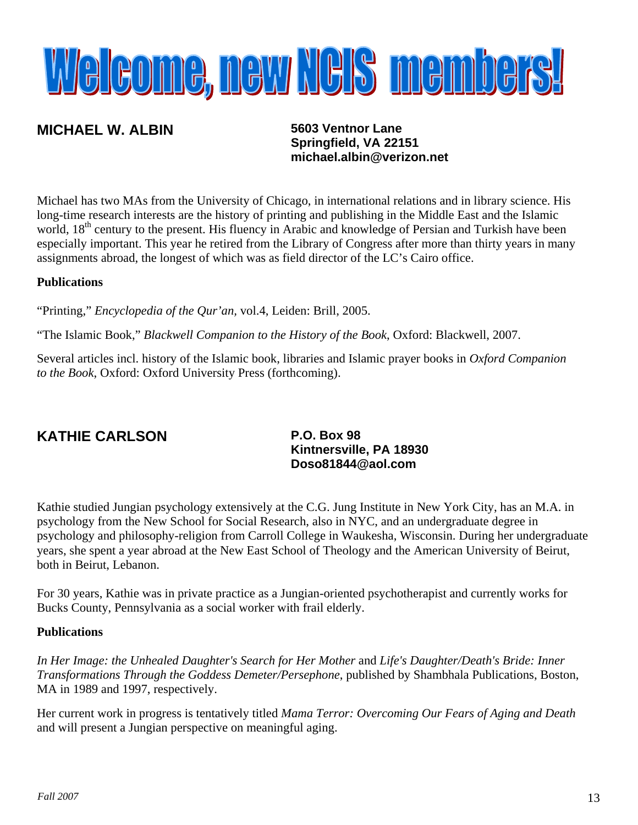# Welcome, new NEIS members!

## **MICHAEL W. ALBIN 5603 Ventnor Lane**

**Springfield, VA 22151 [michael.albin@verizon.net](mailto:michael.albin@verizon.net)**

Michael has two MAs from the University of Chicago, in international relations and in library science. His long-time research interests are the history of printing and publishing in the Middle East and the Islamic world, 18<sup>th</sup> century to the present. His fluency in Arabic and knowledge of Persian and Turkish have been especially important. This year he retired from the Library of Congress after more than thirty years in many assignments abroad, the longest of which was as field director of the LC's Cairo office.

#### **Publications**

"Printing," *Encyclopedia of the Qur'an,* vol.4, Leiden: Brill, 2005.

"The Islamic Book," *Blackwell Companion to the History of the Book*, Oxford: Blackwell, 2007.

Several articles incl. history of the Islamic book, libraries and Islamic prayer books in *Oxford Companion to the Book*, Oxford: Oxford University Press (forthcoming).

## **KATHIE CARLSON**

#### **P.O. Box 98 Kintnersville, PA 18930 [Doso81844@aol.com](mailto:Doso81844@aol.com)**

Kathie studied Jungian psychology extensively at the C.G. Jung Institute in New York City, has an M.A. in psychology from the New School for Social Research, also in NYC, and an undergraduate degree in psychology and philosophy-religion from Carroll College in Waukesha, Wisconsin. During her undergraduate years, she spent a year abroad at the New East School of Theology and the American University of Beirut, both in Beirut, Lebanon.

For 30 years, Kathie was in private practice as a Jungian-oriented psychotherapist and currently works for Bucks County, Pennsylvania as a social worker with frail elderly.

#### **Publications**

*In Her Image: the Unhealed Daughter's Search for Her Mother* and *Life's Daughter/Death's Bride: Inner Transformations Through the Goddess Demeter/Persephone*, published by Shambhala Publications, Boston, MA in 1989 and 1997, respectively.

Her current work in progress is tentatively titled *Mama Terror: Overcoming Our Fears of Aging and Death* and will present a Jungian perspective on meaningful aging.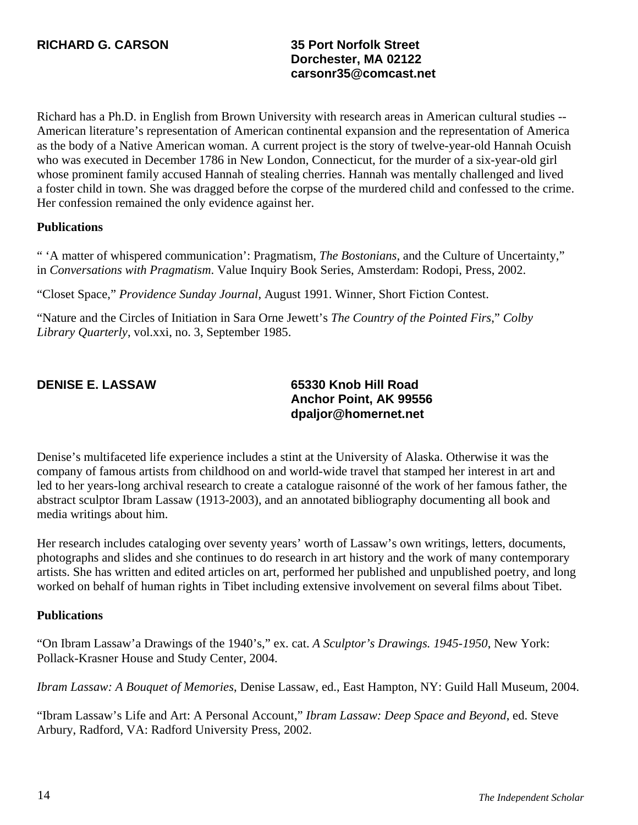## **Dorchester, MA 02122 [carsonr35@comcast.net](mailto:carsonr35@comcast.net)**

Richard has a Ph.D. in English from Brown University with research areas in American cultural studies -- American literature's representation of American continental expansion and the representation of America as the body of a Native American woman. A current project is the story of twelve-year-old Hannah Ocuish who was executed in December 1786 in New London, Connecticut, for the murder of a six-year-old girl whose prominent family accused Hannah of stealing cherries. Hannah was mentally challenged and lived a foster child in town. She was dragged before the corpse of the murdered child and confessed to the crime. Her confession remained the only evidence against her.

#### **Publications**

" 'A matter of whispered communication': Pragmatism, *The Bostonians*, and the Culture of Uncertainty," in *Conversations with Pragmatism*. Value Inquiry Book Series, Amsterdam: Rodopi, Press, 2002.

"Closet Space," *Providence Sunday Journal*, August 1991. Winner, Short Fiction Contest.

"Nature and the Circles of Initiation in Sara Orne Jewett's *The Country of the Pointed Firs*," *Colby Library Quarterly*, vol.xxi, no. 3, September 1985.

**DENISE E. LASSAW 65330 Knob Hill Road Anchor Point, AK 99556 [dpaljor@homernet.net](mailto:dpaljor@homernet.net)**

Denise's multifaceted life experience includes a stint at the University of Alaska. Otherwise it was the company of famous artists from childhood on and world-wide travel that stamped her interest in art and led to her years-long archival research to create a catalogue raisonné of the work of her famous father, the abstract sculptor Ibram Lassaw (1913-2003), and an annotated bibliography documenting all book and media writings about him.

Her research includes cataloging over seventy years' worth of Lassaw's own writings, letters, documents, photographs and slides and she continues to do research in art history and the work of many contemporary artists. She has written and edited articles on art, performed her published and unpublished poetry, and long worked on behalf of human rights in Tibet including extensive involvement on several films about Tibet.

#### **Publications**

"On Ibram Lassaw'a Drawings of the 1940's," ex. cat. *A Sculptor's Drawings. 1945-1950*, New York: Pollack-Krasner House and Study Center, 2004.

*Ibram Lassaw: A Bouquet of Memories*, Denise Lassaw, ed., East Hampton, NY: Guild Hall Museum, 2004.

"Ibram Lassaw's Life and Art: A Personal Account," *Ibram Lassaw: Deep Space and Beyond*, ed. Steve Arbury, Radford, VA: Radford University Press, 2002.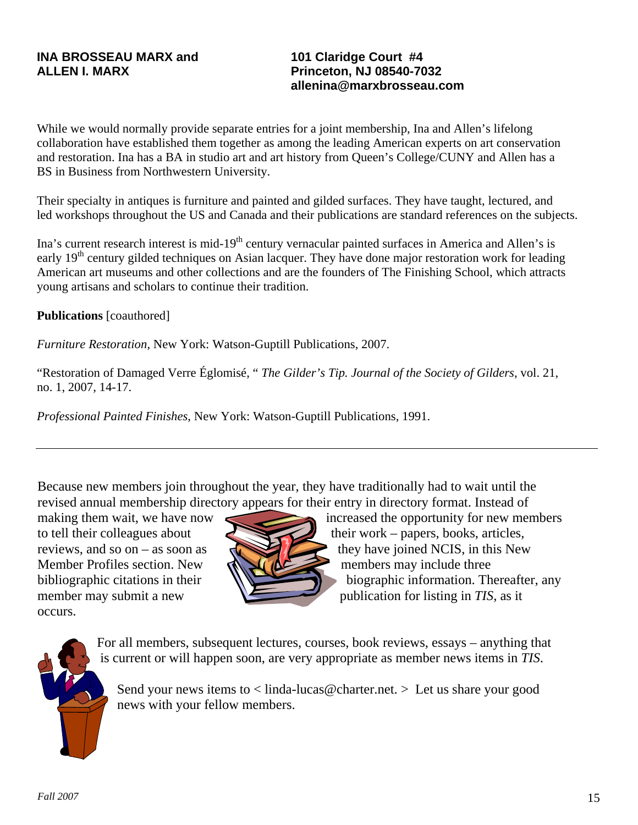**101 Claridge Court #4 Princeton, NJ 08540-7032 [allenina@marxbrosseau.com](mailto:allenina@marxbrosseau.com)**

While we would normally provide separate entries for a joint membership, Ina and Allen's lifelong collaboration have established them together as among the leading American experts on art conservation and restoration. Ina has a BA in studio art and art history from Queen's College/CUNY and Allen has a BS in Business from Northwestern University.

Their specialty in antiques is furniture and painted and gilded surfaces. They have taught, lectured, and led workshops throughout the US and Canada and their publications are standard references on the subjects.

Ina's current research interest is mid-19<sup>th</sup> century vernacular painted surfaces in America and Allen's is early 19<sup>th</sup> century gilded techniques on Asian lacquer. They have done major restoration work for leading American art museums and other collections and are the founders of The Finishing School, which attracts young artisans and scholars to continue their tradition.

**Publications** [coauthored]

*Furniture Restoration,* New York: Watson-Guptill Publications, 2007.

"Restoration of Damaged Verre Églomisé, " *The Gilder's Tip. Journal of the Society of Gilders*, vol. 21, no. 1, 2007, 14-17.

*Professional Painted Finishes*, New York: Watson-Guptill Publications, 1991.

Because new members join throughout the year, they have traditionally had to wait until the revised annual membership directory appears for their entry in directory format. Instead of

Member Profiles section. New  $\mathbb{R}$   $\mathbb{R}$  members may include three occurs.



making them wait, we have now increased the opportunity for new members to tell their colleagues about their work – papers, books, articles, reviews, and so on – as soon as  $\sim$  they have joined NCIS, in this New bibliographic citations in their  $\mathbb{N}$  biographic information. Thereafter, any member may submit a new publication for listing in *TIS*, as it



For all members, subsequent lectures, courses, book reviews, essays – anything that is current or will happen soon, are very appropriate as member news items in *TIS*.

Send your news items to  $\langle$  [linda-lucas@charter.net](mailto:linda-lucas@charter.net).  $\rangle$  Let us share your good news with your fellow members.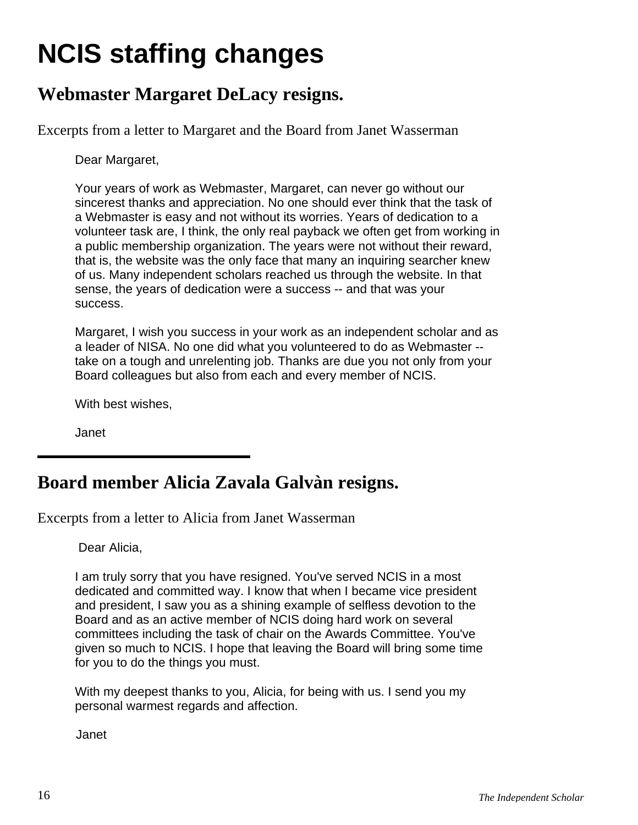# **NCIS staffing changes**

## **Webmaster Margaret DeLacy resigns.**

Excerpts from a letter to Margaret and the Board from Janet Wasserman

Dear Margaret,

Your years of work as Webmaster, Margaret, can never go without our sincerest thanks and appreciation. No one should ever think that the task of a Webmaster is easy and not without its worries. Years of dedication to a volunteer task are, I think, the only real payback we often get from working in a public membership organization. The years were not without their reward, that is, the website was the only face that many an inquiring searcher knew of us. Many independent scholars reached us through the website. In that sense, the years of dedication were a success -- and that was your success.

Margaret, I wish you success in your work as an independent scholar and as a leader of NISA. No one did what you volunteered to do as Webmaster - take on a tough and unrelenting job. Thanks are due you not only from your Board colleagues but also from each and every member of NCIS.

With best wishes,

Janet

## **Board member Alicia Zavala Galvàn resigns.**

Excerpts from a letter to Alicia from Janet Wasserman

Dear Alicia,

I am truly sorry that you have resigned. You've served NCIS in a most dedicated and committed way. I know that when I became vice president and president, I saw you as a shining example of selfless devotion to the Board and as an active member of NCIS doing hard work on several committees including the task of chair on the Awards Committee. You've given so much to NCIS. I hope that leaving the Board will bring some time for you to do the things you must.

With my deepest thanks to you, Alicia, for being with us. I send you my personal warmest regards and affection.

Janet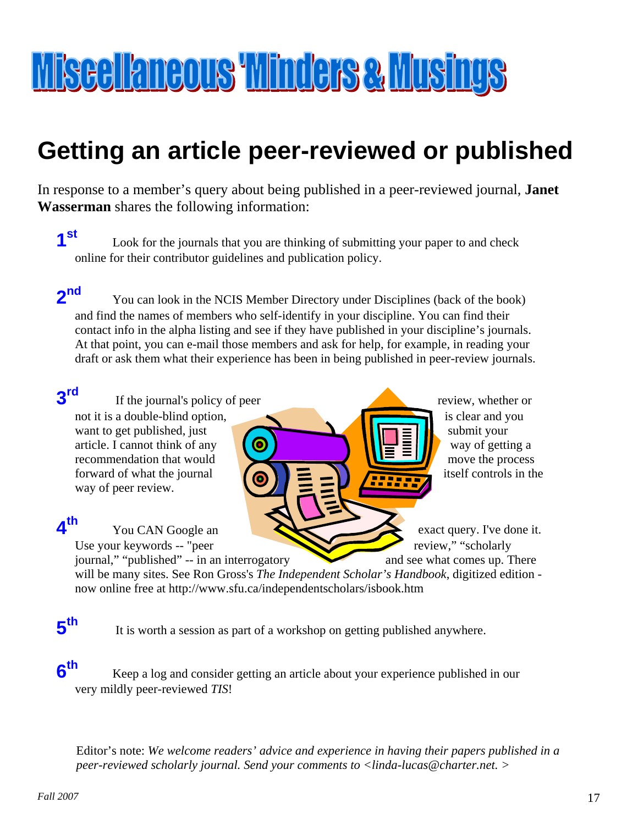# Miscellaneous Minders & Musings

# **Getting an article peer-reviewed or published**

In response to a member's query about being published in a peer-reviewed journal, **Janet Wasserman** shares the following information:

**1st** Look for the journals that you are thinking of submitting your paper to and check online for their contributor guidelines and publication policy.

**2<sup>nd</sup>** You can look in the NCIS Member Directory under Disciplines (back of the book) and find the names of members who self-identify in your discipline. You can find their contact info in the alpha listing and see if they have published in your discipline's journals. At that point, you can e-mail those members and ask for help, for example, in reading your draft or ask them what their experience has been in being published in peer-review journals.

## **3rd**

not it is a double-blind option, is clear and you want to get published, just  $\Box$  submit your article. I cannot think of any  $\begin{pmatrix} \bullet & \bullet \\ \bullet & \bullet \end{pmatrix}$  way of getting a recommendation that would  $\overline{u} = \frac{1}{2}$  move the process forward of what the journal  $\bigcirc$ way of peer review.

itself controls in the If the journal's policy of peer review, whether or

You CAN Google an exact query. I've done it. Use your keywords -- "peer review," "scholarly and see what comes up. There

journal," "published" -- in an interrogatory will be many sites. See Ron Gross's *The Independent Scholar's Handbook*, digitized edition now online free at <http://www.sfu.ca/independentscholars/isbook.htm>

## **5th**

**4th**

It is worth a session as part of a workshop on getting published anywhere.

**6th** Keep a log and consider getting an article about your experience published in our very mildly peer-reviewed *TIS*!

Editor's note: *We welcome readers' advice and experience in having their papers published in a peer-reviewed scholarly journal. Send your comments to <[linda-lucas@charter.net](mailto:linda-lucas@charter.net). >*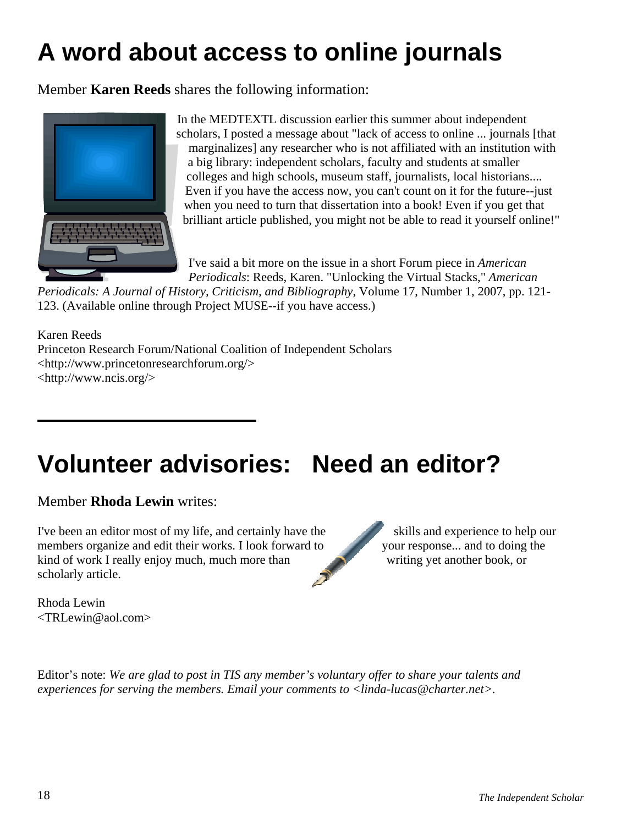# **A word about access to online journals**

Member **Karen Reeds** shares the following information:



In the MEDTEXTL discussion earlier this summer about independent scholars, I posted a message about "lack of access to online ... journals [that marginalizes] any researcher who is not affiliated with an institution with a big library: independent scholars, faculty and students at smaller colleges and high schools, museum staff, journalists, local historians.... Even if you have the access now, you can't count on it for the future--just when you need to turn that dissertation into a book! Even if you get that brilliant article published, you might not be able to read it yourself online!"

I've said a bit more on the issue in a short Forum piece in *American Periodicals*: Reeds, Karen. "Unlocking the Virtual Stacks," *American* 

*Periodicals: A Journal of History, Criticism, and Bibliography*, Volume 17, Number 1, 2007, pp. 121- 123. (Available online through Project MUSE--if you have access.)

Karen Reeds Princeton Research Forum/National Coalition of Independent Scholars <[http://www.princetonresearchforum.org/>](http://www.princetonresearchforum.org/) <<http://www.ncis.org/>>

# **Volunteer advisories: Need an editor?**

Member **Rhoda Lewin** writes:

I've been an editor most of my life, and certainly have the skills and experience to help our members organize and edit their works. I look forward to your response... and to doing the kind of work I really enjoy much, much more than writing yet another book, or scholarly article.

Rhoda Lewin <TRLewin@aol.com>

Editor's note: *We are glad to post in TIS any member's voluntary offer to share your talents and experiences for serving the members. Email your comments to [<linda-lucas@charter.net>.](mailto:linda-lucas@charter.net)*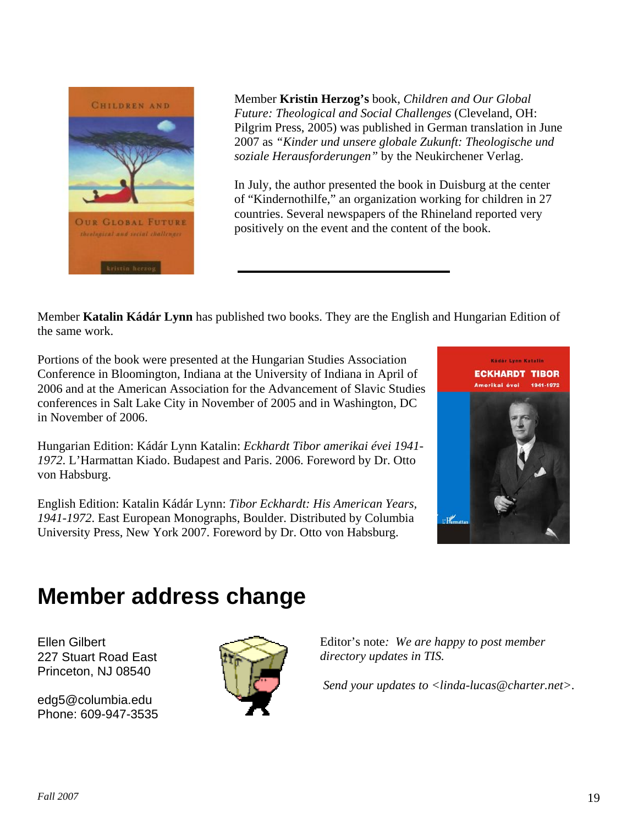

Pilgrim Press, 2005) was published in German translation in June Member **Kristin Herzog's** book, *Children and Our Global Future: Theological and Social Challenges* (Cleveland, OH: 2007 as *"Kinder und unsere globale Zukunft: Theologische und soziale Herausforderungen"* by the Neukirchener Verlag.

In July, the author presented the book in Duisburg at the center of "Kindernothilfe," an organization working for children in 27 countries. Several newspapers of the Rhineland reported very positively on the event and the content of the book.

Member **Katalin Kádár Lynn** has published two books. They are the English and Hungarian Edition of the same work.

Portions of the book were presented at the Hungarian Studies Association Conference in Bloomington, Indiana at the University of Indiana in April of 2006 and at the American Association for the Advancement of Slavic Studies conferences in Salt Lake City in November of 2005 and in Washington, DC in November of 2006.

Hungarian Edition: Kádár Lynn Katalin: *Eckhardt Tibor amerikai évei 1941- 1972*. L'Harmattan Kiado. Budapest and Paris. 2006. Foreword by Dr. Otto von Habsburg.

English Edition: Katalin Kádár Lynn: *Tibor Eckhardt: His American Years, 1941-1972*. East European Monographs, Boulder. Distributed by Columbia University Press, New York 2007. Foreword by Dr. Otto von Habsburg.



## **Member address change**

Ellen Gilbert 227 Stuart Road East Princeton, NJ 08540

[edg5@columbia.edu](mailto:edg5@columbia.edu) Phone: 609-947-3535



Editor's note*: We are happy to post member directory updates in TIS.* 

 *Send your updates to [<linda-lucas@charter.net>](mailto:linda-lucas@charter.net).*